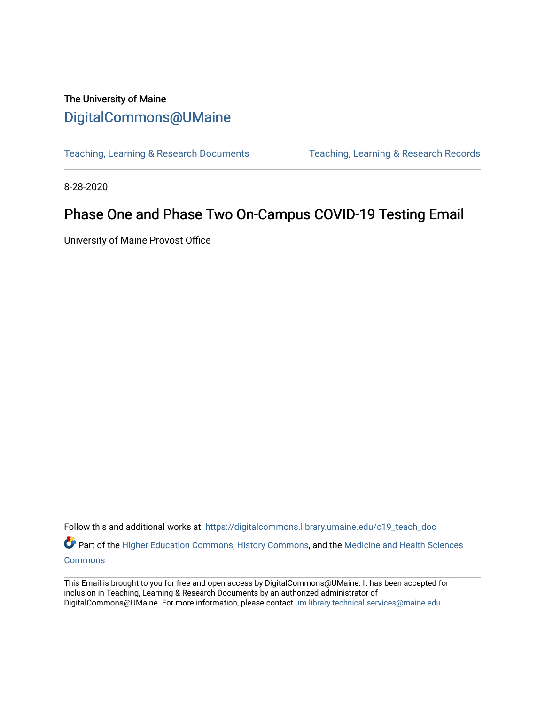## The University of Maine [DigitalCommons@UMaine](https://digitalcommons.library.umaine.edu/)

[Teaching, Learning & Research Documents](https://digitalcommons.library.umaine.edu/c19_teach_doc) [Teaching, Learning & Research Records](https://digitalcommons.library.umaine.edu/c19_teach) 

8-28-2020

## Phase One and Phase Two On-Campus COVID-19 Testing Email

University of Maine Provost Office

Follow this and additional works at: [https://digitalcommons.library.umaine.edu/c19\\_teach\\_doc](https://digitalcommons.library.umaine.edu/c19_teach_doc?utm_source=digitalcommons.library.umaine.edu%2Fc19_teach_doc%2F51&utm_medium=PDF&utm_campaign=PDFCoverPages) Part of the [Higher Education Commons,](http://network.bepress.com/hgg/discipline/1245?utm_source=digitalcommons.library.umaine.edu%2Fc19_teach_doc%2F51&utm_medium=PDF&utm_campaign=PDFCoverPages) [History Commons,](http://network.bepress.com/hgg/discipline/489?utm_source=digitalcommons.library.umaine.edu%2Fc19_teach_doc%2F51&utm_medium=PDF&utm_campaign=PDFCoverPages) and the Medicine and Health Sciences

[Commons](http://network.bepress.com/hgg/discipline/648?utm_source=digitalcommons.library.umaine.edu%2Fc19_teach_doc%2F51&utm_medium=PDF&utm_campaign=PDFCoverPages)

This Email is brought to you for free and open access by DigitalCommons@UMaine. It has been accepted for inclusion in Teaching, Learning & Research Documents by an authorized administrator of DigitalCommons@UMaine. For more information, please contact [um.library.technical.services@maine.edu](mailto:um.library.technical.services@maine.edu).